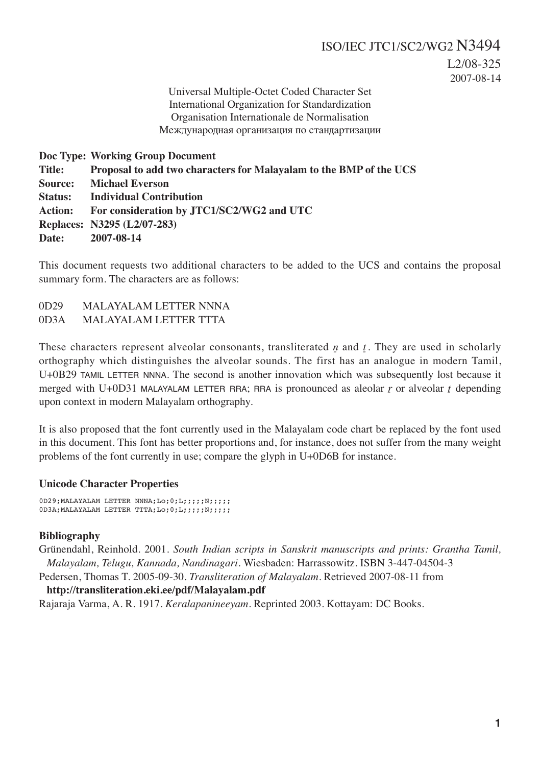L2/08-325 2007-08-14

Universal Multiple-Octet Coded Character Set International Organization for Standardization Organisation Internationale de Normalisation Международная организация по стандартизации

**Doc Type: Working Group Document Title: Proposal to add two characters for Malayalam to the BMP of the UCS Source: Michael Everson Status: Individual Contribution Action: For consideration by JTC1/SC2/WG2 and UTC Replaces: N3295 (L2/07-283) Date: 2007-08-14**

This document requests two additional characters to be added to the UCS and contains the proposal summary form. The characters are as follows:

0D29 MALAYALAM LETTER NNNA 0D3A MALAYALAM LETTER TTTA

These characters represent alveolar consonants, transliterated  $p$  and  $t$ . They are used in scholarly orthography which distinguishes the alveolar sounds. The first has an analogue in modern Tamil, U+0B29 TAMIL LETTER NNNA. The second is another innovation which was subsequently lost because it merged with U+0D31 MALAYALAM LETTER RRA; RRA is pronounced as aleolar  $\gamma$  or alveolar  $\gamma$  depending upon context in modern Malayalam orthography.

It is also proposed that the font currently used in the Malayalam code chart be replaced by the font used in this document. This font has better proportions and, for instance, does not suffer from the many weight problems of the font currently in use; compare the glyph in U+0D6B for instance.

# **Unicode Character Properties**

0D29;MALAYALAM LETTER NNNA;Lo;0;L;;;;;N;;;;; 0D3A;MALAYALAM LETTER TTTA;Lo;0;L;;;;;N;;;;;

# **Bibliography**

Grünendahl, Reinhold. 2001. *South Indian scripts in Sanskrit manuscripts and prints: Grantha Tamil, Malayalam, Telugu, Kannada, Nandinagari*. Wiesbaden: Harrassowitz. ISBN 3-447-04504-3

Pedersen, Thomas T. 2005-09-30. *Transliteration of Malayalam*. Retrieved 2007-08-11 from

# **http://transliteration.eki.ee/pdf/Malayalam.pdf**

Rajaraja Varma, A. R. 1917. *Keralapanineeyam*. Reprinted 2003. Kottayam: DC Books.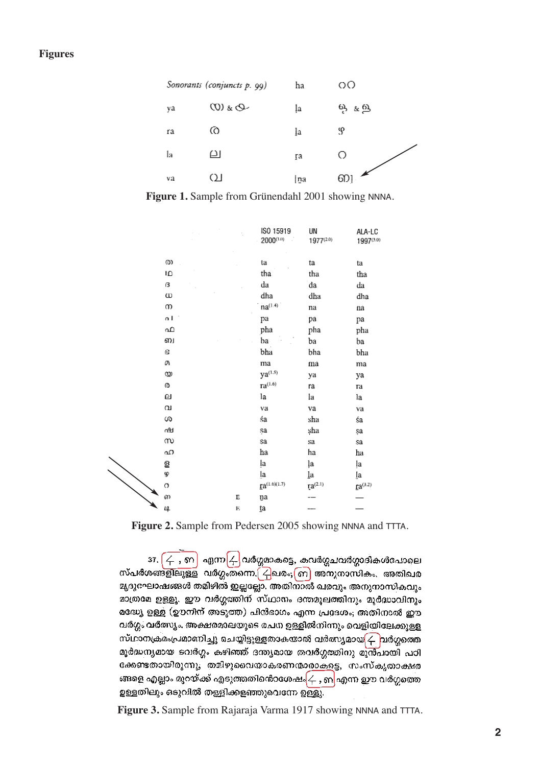| Sonorants (conjuncts p. 99) |             | ha  | ΟO                                |
|-----------------------------|-------------|-----|-----------------------------------|
| ya                          | $Q_{3}$ (0) | ļa  | ஒ. உல                             |
| ra                          | 0           | ļa  | S                                 |
| la                          | ല           | ŗа  | Ο                                 |
| va                          | വ           | ∤na | $\boldsymbol{\mathscr{K}}$<br>6D) |

**Figure 1.** Sample from Grünendahl 2001 showing NNNA.

|          |   | ISO 15919<br>$2000^{(1.0)}$     | UN<br>$1977^{(2.0)}$ | ALA-LC<br>1997(3.0)   |
|----------|---|---------------------------------|----------------------|-----------------------|
| @        |   | ta                              | ta                   | ta                    |
| IΩ       |   | tha                             | tha                  | tha                   |
| в        |   | da                              | da                   | da                    |
| ω        |   | dha                             | dha                  | dha                   |
| ന        |   | $na^{(1.4)}$                    | na                   | $\rm{na}$             |
| o l      |   | pa                              | pa                   | рa                    |
| ഫ        |   | pha                             | pha                  | pha                   |
| ்ப       |   | ba                              | ba                   | ba                    |
| 6        |   | bha                             | bha                  | bha                   |
| a        |   | ma                              | ma                   | ma                    |
| യ        |   | $ya^{(1.5)}$                    | ya                   | ya                    |
| Ø        |   | $\mathbf{r}$ a <sup>(1.6)</sup> | ra                   | Гa                    |
| o        |   | la                              | la                   | la                    |
| $\alpha$ |   | va                              | va                   | va                    |
| S        |   | śa                              | sha                  | śa                    |
| ∩9d      |   | sa                              | şha                  | şa                    |
| m        |   | sa                              | sa                   | sa                    |
| ഹ        |   | ha                              | ha                   | ha                    |
| ള        |   | ļа                              | ļa                   | ļa                    |
| 9        |   | ļa                              | la                   | Įа                    |
| O        |   | $Ia^{(1.6)(1.7)}$               | $I^{2^{(2.1)}}$      | $\mathbf{r}a^{(3.2)}$ |
| ഩ        | E | ņа                              |                      |                       |
| 14       | E | ta                              |                      |                       |

Figure 2. Sample from Pedersen 2005 showing NNNA and TTTA.

 $37.$   $\overline{\left\langle \leftarrow\right. },\left. \widehat{m}\right\vert }$  എന്ന $\overline{\left\langle \leftarrow\right. }$ വർഗ്ഗമാകട്ടെ, കവർഗ്ഗചവർഗ്ഗാദികൾപോലെ<br>സ്പർശങ്ങളിലുള്ള വർഗ്ഗംതന്നെ. $\overline{\left( \leftarrow\right)}$ ഖരം; $\overline{\left( n\right)}$  അനുനാസികം. അതിഖര മൃദുഘോഷങ്ങൾ തമിഴിൽ ഇല്ലല്ലോ. അതിനാൽ ഖരവും അനുനാസികവും മാത്രമേ ഉള്ളു. ഈ വർഗ്ഗത്തിന് സ്ഥാനം ദന്തമൂലത്തിനും മൂർദ്ധാവിനും മദ്ധ്യേ ഉള്ള (ഊനിന് അടുത്ത) പിൻഭാഗം എന്ന പ്രദേശം; അതിനാൽ ഈ വർഗ്ഗം വർത്സ്യം. അക്ഷരമാലയുടെ രചന ഉള്ളിൽനിന്നും വെളിയിലേക്കുള്ള സ്ഥാനക്രമംപ്രമാണിച്ചു ചെയ്യിട്ടുള്ളതാകയാൽ വർത്സ്യമായ $\sqrt{\phantom{a}}\,$ വർഗ്ഗത്തെ മൂർദ്ധന്യമായ ടവർഗ്ഗം കഴിഞ്ഞ് ദന്ത്യമായ തവർഗ്ഗത്തിനു മുൻപായി പഠി ക്കേണ്ടതായിരുന്നു; തമിഴുവൈയാകരണന്മാരാകളെ, സംസ്കൃതാക്ഷര ങ്ങളെ എല്ലാം മുറയ്ക്ക് എടുത്തതിൻെറശേഷം $\left\{ \mathbf{4},\mathbf{6}\right\}$ എന്ന ഈ വർഗ്ഗത്തെ ഉള്ളതിലും ഒടുവിൽ തള്ളിക്കളഞ്ഞുവെന്നേ ഉള്ളു.

**Figure 3.** Sample from Rajaraja Varma 1917 showing NNNA and TTTA.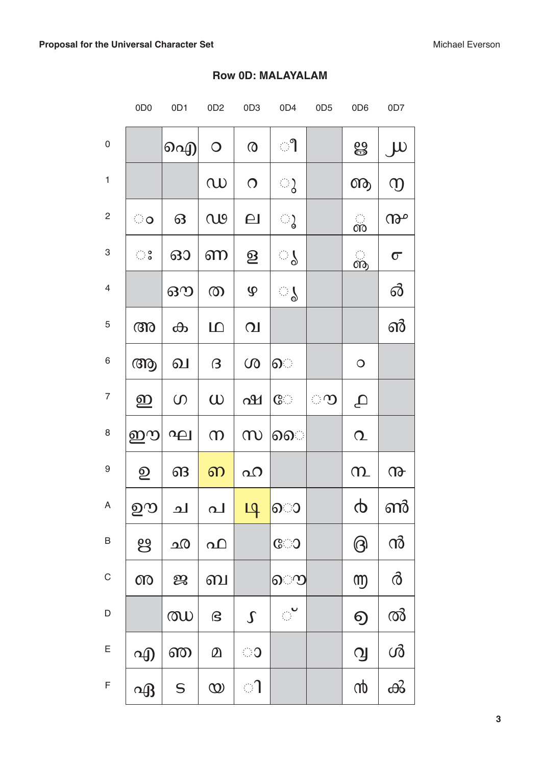|                           | 0D <sub>0</sub>                                               | 0D1         | 0D <sub>2</sub>             | 0D <sub>3</sub>          | 0D4                    | 0D <sub>5</sub> | 0D <sub>6</sub> | 0D7                      |
|---------------------------|---------------------------------------------------------------|-------------|-----------------------------|--------------------------|------------------------|-----------------|-----------------|--------------------------|
| $\boldsymbol{0}$          |                                                               | ഐ           | $\bigcirc$                  | $\boldsymbol{\Omega}$    | ၫ                      |                 | ൠ               | $J^{U}$                  |
| $\mathbf{1}$              |                                                               |             | $\omega$                    | $\Omega$                 | ್ಕ                     |                 | ௸               | $\mathfrak{D}$           |
| $\sqrt{2}$                | ಂ                                                             | 63          | QQ                          | $\Box$                   | ു                      |                 | ൎ               | ൲                        |
| $\ensuremath{\mathsf{3}}$ | $\mathbb{C} \stackrel{\circ}{\scriptstyle\circ} \mathbb{S}^0$ | 630         | ണ                           | $\underline{\mathbf{S}}$ | ୍ଥ                     |                 | ൡ               | $\sigma$                 |
| $\overline{4}$            |                                                               | ഔ           | $\circledcirc$              | $\mathbf{\mathcal{P}}$   | ु ।                    |                 |                 | <u>ති</u>                |
| $\sqrt{5}$                | $\omega$                                                      | ക           | $\Box$                      | $\Omega$                 |                        |                 |                 | ൵                        |
| $\,6\,$                   | ആ                                                             | வ           | $\beta$                     | $\omega$                 | ெ                      |                 | $\bigcirc$      |                          |
| $\overline{7}$            | ഇ                                                             | $\circ$     | $\omega$                    | ഷ                        | $\mathbb{C}$           | ാ               | $\Delta$        |                          |
| $\,8\,$                   | ഈ                                                             | $\Omega$    | $\infty$                    | m                        | ெ                      |                 | $\Omega$        |                          |
| $\boldsymbol{9}$          | $\mathbf{Q}$                                                  | ങ           | ഩ                           | $\Omega$                 |                        |                 | $\Omega$        | $\omega$                 |
| A                         | ഊ                                                             |             | _ച   പ <mark>  ഥ</mark> ு ൊ |                          |                        |                 |                 | $\phi \mid \mathfrak{m}$ |
| $\sf B$                   | ဗွ                                                            | <u>ഹ</u>    | വ                           |                          | $C^{\circ}$            |                 | $\bigcirc$      | ൻ                        |
| $\mathsf C$               | $00^{\circ}$                                                  | ஜ           | ബ                           |                          | ൌ                      |                 | <b>m</b>        | $\delta$                 |
| $\mathsf D$               |                                                               | $\omega$    | $\mathbf S$                 | $\int$                   | $\mathbb{R}^{\bullet}$ |                 | $\Theta$        | ൽ                        |
| $\mathsf E$               | എ                                                             | ண           | $\Omega$                    | ා                        |                        |                 | $\mathbf{Q}$    | ൾ                        |
| $\mathsf F$               | $\alpha$                                                      | $\mathsf S$ | $\infty$                    | ി                        |                        |                 | $\omega$        | ൿ                        |

# **Row OD: MALAYALAM**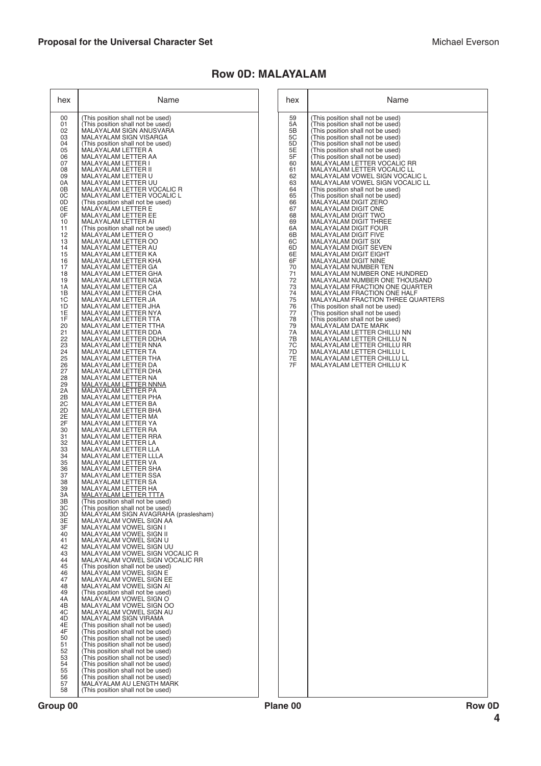# **Row 0D: MALAYALAM**

| hex | Name                                     |
|-----|------------------------------------------|
| 59  | (This position shall not be used)        |
| 5A  | (This position shall not be used)        |
| 5B  | (This position shall not be used)        |
| 5С  | (This position shall not be used)        |
| 5D  | (This position shall not be used)        |
| 5Е  | (This position shall not be used)        |
| 5F  | (This position shall not be used)        |
| 60  | MALAYALAM LETTER VOCALIC RR              |
| 61  | MALAYALAM LETTER VOCALIC LL              |
| 62  | MALAYALAM VOWEL SIGN VOCALIC L           |
| 63  | MALAYALAM VOWEL SIGN VOCALIC LL          |
| 64  | (This position shall not be used)        |
| 65  | (This position shall not be used)        |
| 66  | MALAYALAM DIGIT ZERO                     |
| 67  | MALAYALAM DIGIT ONE                      |
| 68  | MALAYALAM DIGIT TWO                      |
| 69  | MALAYALAM DIGIT THREE                    |
| 6A  | MALAYALAM DIGIT FOUR                     |
| 6В  | <b>MALAYALAM DIGIT FIVE</b>              |
| 6C  | MALAYALAM DIGIT SIX                      |
| 6D  | MALAYALAM DIGIT SEVEN                    |
| 6E  | MALAYALAM DIGIT EIGHT                    |
| 6F  | MALAYALAM DIGIT NINE                     |
| 70  | MALAYALAM NUMBER TEN                     |
| 71  | MALAYALAM NUMBER ONE HUNDRED             |
| 72  | MALAYALAM NUMBER ONE THOUSAND            |
| 73  | MALAYALAM FRACTION ONE QUARTER           |
| 74  | MALAYALAM FRACTION ONE HALF              |
| 75  | <b>MALAYALAM FRACTION THREE QUARTERS</b> |
| 76  | (This position shall not be used)        |
| 77  | (This position shall not be used)        |
| 78  | (This position shall not be used)        |
| 79  | MALAYALAM DATE MARK                      |
| 7A  | MALAYALAM LETTER CHILLU NN               |
| 7B  | MALAYALAM LETTER CHILLU N                |
| 7C  | MALAYALAM LETTER CHILLU RR               |
| 7D  | MALAYALAM LETTER CHILLU L                |
| 7E  | MALAYALAM LETTER CHILLU LL               |
| 7F  | MALAYALAM LETTER CHILLU K                |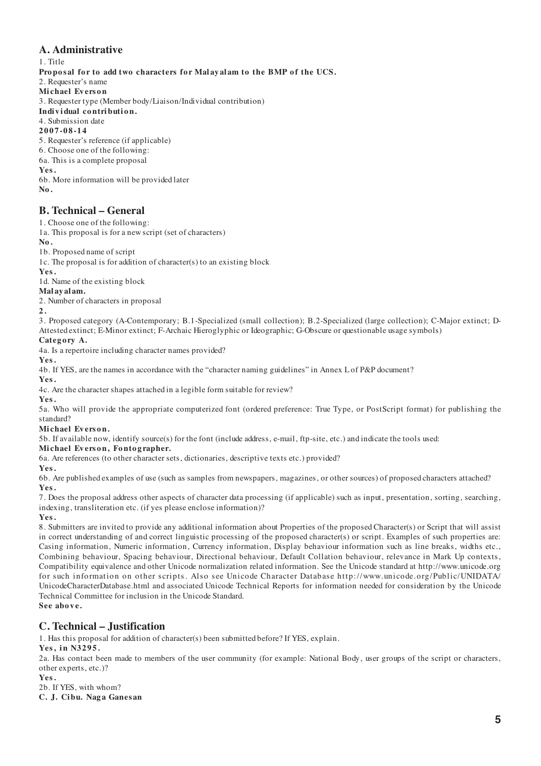## **A. Administrative**

1. Title Proposal for to add two characters for Malayalam to the BMP of the UCS. 2. Requester's name **Mi chael Ev ers o n** 3. Requester type (Member body/Liaison/Individual contribution) Individual contribution. 4. Submission date **2007-08-14** 5. Requester's reference (if applicable) 6. Choose one of the following: 6a. This is a complete proposal **Yes.** 6b. More information will be provided later

**No.**

## **B. Technical – General**

1. Choose one of the following:

1a. This proposal is for a new script (set of characters)

**No.**

1b. Proposed name of script

1c. The proposal is for addition of character(s) to an existing block

**Yes.**

1d. Name of the existing block

**Malayalam.**

2. Number of characters in proposal

**2 .**

3. Proposed category (A-Contemporary; B.1-Specialized (small collection); B.2-Specialized (large collection); C-Major extinct; D-Attested extinct; E-Minor extinct; F-Archaic Hieroglyphic or Ideographic; G-Obscure or questionable usage symbols)

## Category A.

4a. Is a repertoire including character names provided?

**Yes.**

4b. If YES, are the names in accordance with the "character naming guidelines" in Annex L of P&P document?

**Yes.**

4c. Are the character shapes attached in a legible form suitable for review?

**Yes.**

5a. Who will provide the appropriate computerized font (ordered preference: True Type, or PostScript format) for publishing the standard?

### **Mi chael Ev ers o n.**

5b. If available now, identify source(s) for the font (include address, e-mail, ftp-site, etc.) and indicate the tools used:

#### Michael Everson, Fontographer.

6a. Are references (to other character sets, dictionaries, descriptive texts etc.) provided?

**Yes.**

6b. Are published examples of use (such as samples from newspapers, magazines, or other sources) of proposed characters attached? **Yes.**

7. Does the proposal address other aspects of character data processing (if applicable) such as input, presentation, sorting, searching, indexing, transliteration etc. (if yes please enclose information)?

**Yes.**

8. Submitters are invited to provide any additional information about Properties of the proposed Character(s) or Script that will assist in correct understanding of and correct linguistic processing of the proposed character(s) or script. Examples of such properties are: Casing information, Numeric information, Currency information, Display behaviour information such as line breaks, widths etc., Combining behaviour, Spacing behaviour, Directional behaviour, Default Collation behaviour, relevance in Mark Up contexts, Compatibility equivalence and other Unicode normalization related information. See the Unicode standard at http://www.unicode.org for such information on other scripts. Also see Unicode Character Database http://www. unicode. org/Public/UNIDATA/ UnicodeCharacterDatabase.html and associated Unicode Technical Reports for information needed for consideration by the Unicode Technical Committee for inclusion in the Unicode Standard. **See above.**

# **C. Technical – Justification**

1. Has this proposal for addition of character(s) been submitted before? If YES, explain.

**Yes, in N3295.**

2a. Has contact been made to members of the user community (for example: National Body, user groups of the script or characters, other experts, etc.)?

**Yes.**

2b. If YES, with whom?

**C. J. Ci bu. Nag a Ganes an**